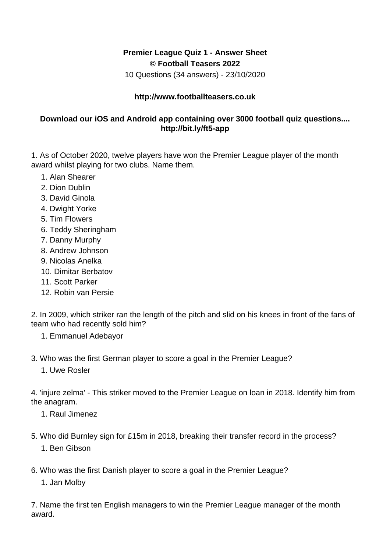## **Premier League Quiz 1 - Answer Sheet © Football Teasers 2022**

10 Questions (34 answers) - 23/10/2020

## **http://www.footballteasers.co.uk**

## **Download our iOS and Android app containing over 3000 football quiz questions.... http://bit.ly/ft5-app**

1. As of October 2020, twelve players have won the Premier League player of the month award whilst playing for two clubs. Name them.

- 1. Alan Shearer
- 2. Dion Dublin
- 3. David Ginola
- 4. Dwight Yorke
- 5. Tim Flowers
- 6. Teddy Sheringham
- 7. Danny Murphy
- 8. Andrew Johnson
- 9. Nicolas Anelka
- 10. Dimitar Berbatov
- 11. Scott Parker
- 12. Robin van Persie

2. In 2009, which striker ran the length of the pitch and slid on his knees in front of the fans of team who had recently sold him?

- 1. Emmanuel Adebayor
- 3. Who was the first German player to score a goal in the Premier League?
	- 1. Uwe Rosler

4. 'injure zelma' - This striker moved to the Premier League on loan in 2018. Identify him from the anagram.

- 1. Raul Jimenez
- 5. Who did Burnley sign for £15m in 2018, breaking their transfer record in the process? 1. Ben Gibson
- 6. Who was the first Danish player to score a goal in the Premier League?
	- 1. Jan Molby

7. Name the first ten English managers to win the Premier League manager of the month award.